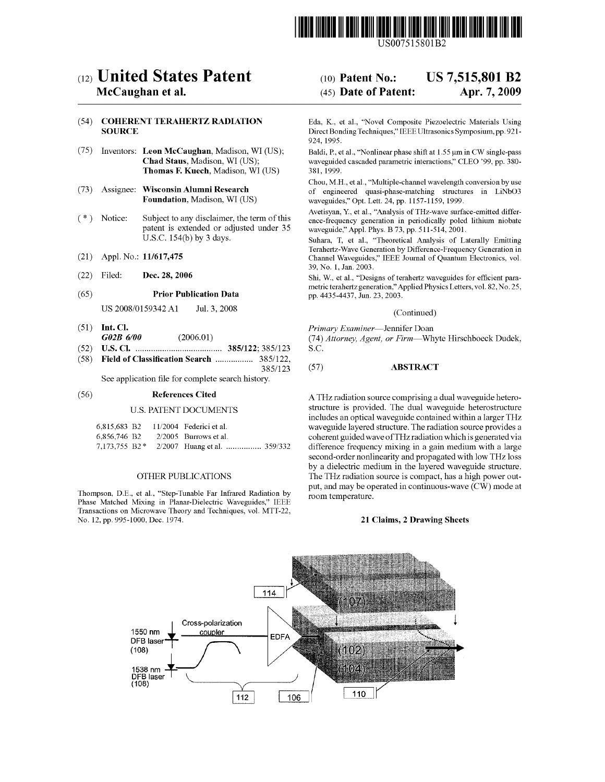

US007515801B2

# c12) **United States Patent**

## **Mccaughan et al.**

### (54) **COHERENT TERAHERTZ RADIATION SOURCE**

- (75) Inventors: **Leon Mccaughan,** Madison, WI (US); **Chad Staus,** Madison, WI (US); **Thomas F. Kuech,** Madison, WI (US)
- (73) Assignee: **Wisconsin Alumni Research Foundation,** Madison, WI (US)
- (\*) Notice: Subject to any disclaimer, the term of this patent is extended or adjusted under 35 U.S.C. 154(b) by 3 days.
- (21) Appl. No.: **11/617,475**
- (22) Filed: **Dec. 28, 2006**

#### (65) **Prior Publication Data**

US 2008/0159342 A1 Jul. 3, 2008

- (51) **Int. Cl.**  *G02B 6/00* (2006.01)
- (52) **U.S. Cl.** ....................................... **385/122;** 385/123
- (58) **Field of Classification Search** ................. 385/122, 385/123

See application file for complete search history.

#### (56) **References Cited**

#### U.S. PATENT DOCUMENTS

|              |  | 6,815,683 B2 11/2004 Federici et al. |  |
|--------------|--|--------------------------------------|--|
| 6,856,746 B2 |  | $2/2005$ Burrows et al.              |  |
|              |  |                                      |  |

#### OTHER PUBLICATIONS

Thompson, D.E., et al., "Step-Tunable Far Infrared Radiation by Phase Matched Mixing in Planar-Dielectric Waveguides," IEEE Transactions on Microwave Theory and Techniques, vol. MTT-22, No. 12, pp. 995-1000, Dec. 1974.

# (IO) **Patent No.: US 7,515,801 B2**  (45) **Date of Patent: Apr. 7, 2009**

Eda, K., et al., "Novel Composite Piezoelectric Materials Using Direct Bonding Techniques," IEEE Ultrasonics Symposium, pp. 921- 924, 1995.

Baldi, P., et al., "Nonlinear phase shift at 1.55 µm in CW single-pass waveguided cascaded parametric interactions," CLEO '99, pp. 380- 381, 1999.

Chou, M.H., et al., "Multiple-channel wavelength conversion by use of engineered quasi-phase-matching structures in LiNbO3 waveguides," Opt. Lett. 24, pp. 1157-1159, 1999.

Avetisyan, Y., et al., "Analysis of THz-wave surface-emitted difference-frequency generation in periodically poled lithium niobate waveguide," Appl. Phys. B 73, pp. 511-514, 2001.

Suhara, T, et al., "Theoretical Analysis of Laterally Emitting Terahertz-Wave Generation by Difference-Frequency Generation in Channel Waveguides," IEEE Journal of Quantum Electronics, vol. 39, No. 1, Jan. 2003.

Shi, W., et al., "Designs of terahertz waveguides for efficient parametric terahertz generation," Applied Physics Letters, vol. 82, No. 25, pp. 4435-4437, Jun. 23, 2003.

#### (Continued)

*Primary Examiner-Jennifer* Doan

(74) *Attorney, Agent, or Firm-Whyte* Hirschboeck Dudek, S.C.

#### (57) **ABSTRACT**

A THz radiation source comprising a dual waveguide heterostructure is provided. The dual waveguide heterostructure includes an optical waveguide contained within a larger THz waveguide layered structure. The radiation source provides a coherent guided wave ofTHz radiation which is generated via difference frequency mixing in a gain medium with a large second-order nonlinearity and propagated with low THz loss by a dielectric medium in the layered waveguide structure. The THz radiation source is compact, has a high power output, and may be operated in continuous-wave (CW) mode at room temperature.

#### **21 Claims, 2 Drawing Sheets**

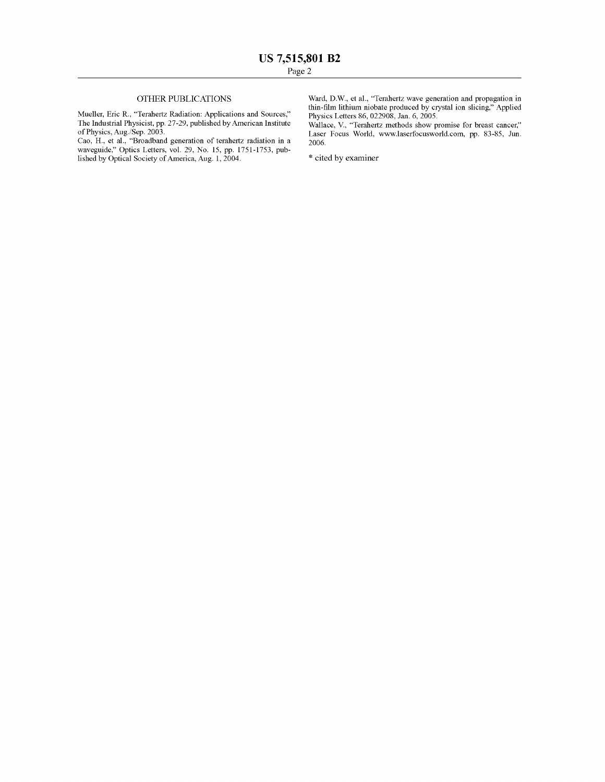### OTHER PUBLICATIONS

Mueller, Eric R., "Terahertz Radiation: Applications and Sources," The Industrial Physicist, pp. 27-29, published by American Institute of Physics, Aug./Sep. 2003.

Cao, H., et al., "Broadband generation of terahertz radiation in a waveguide," Optics Letters, vol. 29, No. 15, pp. 1751-1753, published by Optical Society of America, Aug. 1, 2004.

Ward, D.W., et al., "Terahertz wave generation and propagation in thin-film lithium niobate produced by crystal ion slicing," Applied Physics Letters 86, 022908, Jan. 6, 2005.

Wallace, V., "Terahertz methods show promise for breast cancer," Laser Focus World, www.laserfocusworld.com, pp. 83-85, Jun. 2006.

\* cited by examiner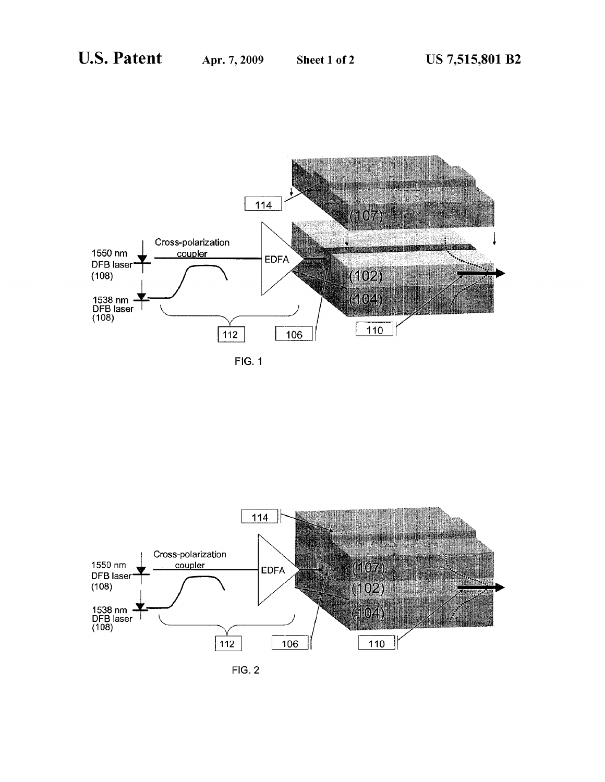

FIG. 1



FIG. 2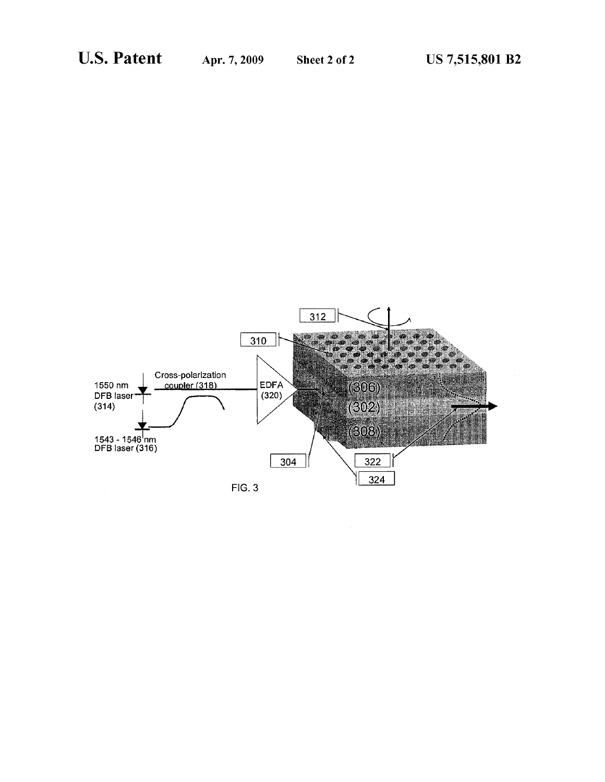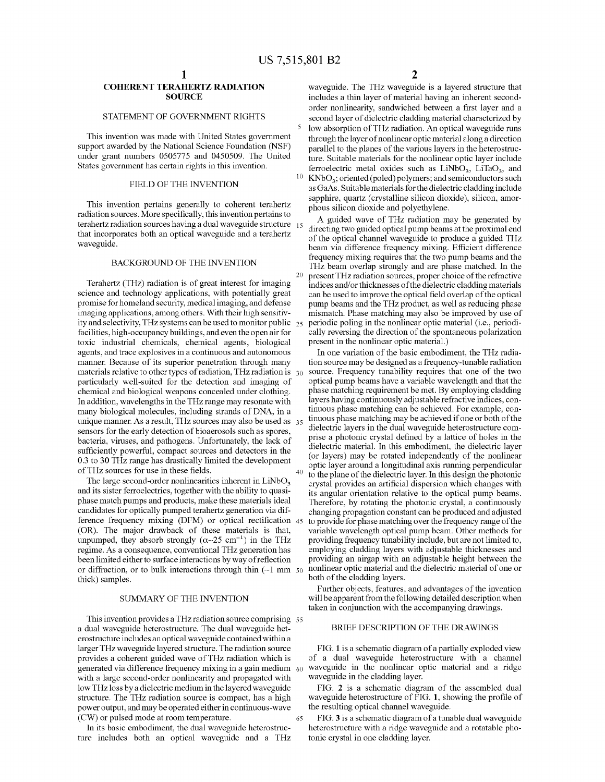#### **COHERENT TERAHERTZ RADIATION SOURCE**

#### STATEMENT OF GOVERNMENT RIGHTS

This invention was made with United States government support awarded by the National Science Foundation (NSF) under grant numbers 0505775 and 0450509. The United States government has certain rights in this invention.

#### FIELD OF THE INVENTION

This invention pertains generally to coherent terahertz phous silicon dioxide and polyethylene. radiation sources. More specifically, this invention pertains to terahertz radiation sources having a dual waveguide structure  $15$ that incorporates both an optical waveguide and a terahertz waveguide.

#### BACKGROUND OF THE INVENTION

Terahertz (THz) radiation is of great interest for imaging science and technology applications, with potentially great promise for homeland security, medical imaging, and defense imaging applications, among others. With their high sensitivity and selectivity, THz systems can be used to monitor public facilities, high-occupancy buildings, and even the open air for toxic industrial chemicals, chemical agents, biological agents, and trace explosives in a continuous and autonomous manner. Because of its superior penetration through many materials relative to other types of radiation, THz radiation is 30 particularly well-suited for the detection and imaging of chemical and biological weapons concealed under clothing. In addition, wavelengths in the THz range may resonate with many biological molecules, including strands of DNA, in a unique manner. As a result, THz sources may also be used as 35 sensors for the early detection of bioaerosols such as spores, bacteria, viruses, and pathogens. Unfortunately, the lack of sufficiently powerful, compact sources and detectors in the 0.3 to 30 THz range has drastically limited the development optic layer around a longitudinal axis running perpendicular of THz sources for use in these fields.

The large second-order nonlinearities inherent in  $LiNbO<sub>3</sub>$ and its sister ferroelectrics, together with the ability to quasiphase match pumps and products, make these materials ideal candidates for optically pumped terahertz generation via difference frequency mixing (DFM) or optical rectification 45 (OR). The major drawback of these materials is that, unpumped, they absorb strongly  $(\alpha \sim 25 \text{ cm}^{-1})$  in the THz regime. As a consequence, conventional THz generation has been limited either to surface interactions by way of reflection or diffraction, or to bulk interactions through thin  $(-1 \text{ mm } 50$ thick) samples.

### SUMMARY OF THE INVENTION

This invention provides a THz radiation source comprising 55 a dual waveguide heterostructure. The dual waveguide heterostructure includes an optical waveguide contained within a larger THz waveguide layered structure. The radiation source provides a coherent guided wave of THz radiation which is generated via difference frequency mixing in a gain medium 60 with a large second-order nonlinearity and propagated with low THz loss by a dielectric medium in the layered waveguide structure. The THz radiation source is compact, has a high power output, and may be operated either in continuous-wave (CW) or pulsed mode at room temperature. 65

In its basic embodiment, the dual waveguide heterostructure includes both an optical waveguide and a THz

waveguide. The THz waveguide is a layered structure that includes a thin layer of material having an inherent secondorder nonlinearity, sandwiched between a first layer and a second layer of dielectric cladding material characterized by low absorption of THz radiation. An optical waveguide runs through the layer of nonlinear optic material along a direction parallel to the planes of the various layers in the heterostructure. Suitable materials for the nonlinear optic layer include ferroelectric metal oxides such as  $LiNbO<sub>3</sub>$ ,  $LiTaO<sub>3</sub>$ , and  $KNbO<sub>3</sub>$ ; oriented (poled) polymers; and semiconductors such as GaAs. Suitable materials for the dielectric cladding include sapphire, quartz ( crystalline silicon dioxide), silicon, amor-

A guided wave of THz radiation may be generated by directing two guided optical pump beams at the proximal end of the optical channel waveguide to produce a guided THz beam via difference frequency mixing. Efficient difference frequency mixing requires that the two pump beams and the THz beam overlap strongly and are phase matched. In the 20 present THz radiation sources, proper choice of the refractive indices and/or thicknesses of the dielectric cladding materials can be used to improve the optical field overlap of the optical pump beams and the THz product, as well as reducing phase mismatch. Phase matching may also be improved by use of 25 periodic poling in the nonlinear optic material (i.e., periodically reversing the direction of the spontaneous polarization present in the nonlinear optic material.)

In one variation of the basic embodiment, the THz radiation source may be designed as a frequency-tunable radiation source. Frequency tunability requires that one of the two optical pump beams have a variable wavelength and that the phase matching requirement be met. By employing cladding layers having continuously adjustable refractive indices, continuous phase matching can be achieved. For example, continuous phase matching may be achieved if one or both of the dielectric layers in the dual waveguide heterostructure comprise a photonic crystal defined by a lattice of holes in the dielectric material. In this embodiment, the dielectric layer ( or layers) may be rotated independently of the nonlinear 40 to the plane of the dielectric layer. In this design the photonic crystal provides an artificial dispersion which changes with its angular orientation relative to the optical pump beams. Therefore, by rotating the photonic crystal, a continuously changing propagation constant can be produced and adjusted to provide for phase matching over the frequency range of the variable wavelength optical pump beam. Other methods for providing frequency tunability include, but are not limited to, employing cladding layers with adjustable thicknesses and providing an airgap with an adjustable height between the 50 nonlinear optic material and the dielectric material of one or both of the cladding layers.

Further objects, features, and advantages of the invention will be apparent from the following detailed description when taken in conjunction with the accompanying drawings.

#### BRIEF DESCRIPTION OF THE DRAWINGS

FIG. **1** is a schematic diagram of a partially exploded view of a dual waveguide heterostructure with a channel waveguide in the nonlinear optic material and a ridge waveguide in the cladding layer.

FIG. **2** is a schematic diagram of the assembled dual waveguide heterostructure of FIG. **1,** showing the profile of the resulting optical channel waveguide.

FIG. **3** is a schematic diagram of a tunable dual waveguide heterostructure with a ridge waveguide and a rotatable photonic crystal in one cladding layer.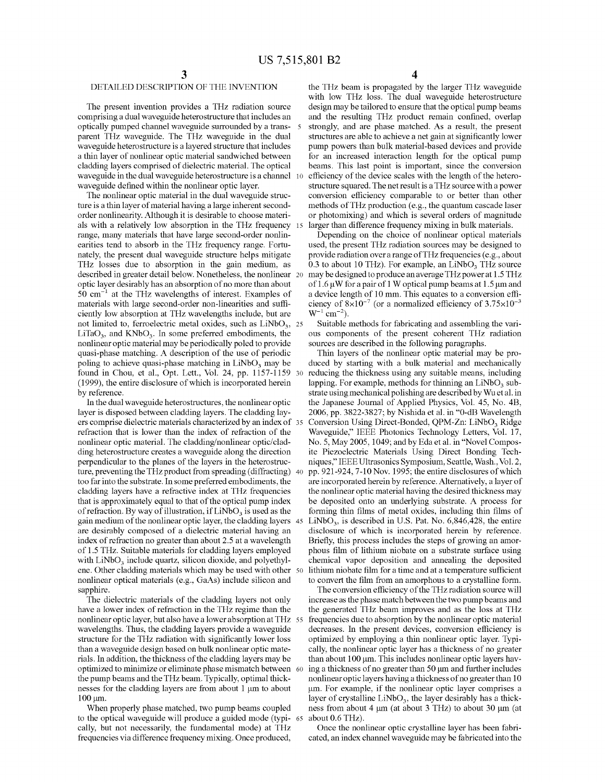### DETAILED DESCRIPTION OF THE INVENTION

The present invention provides a THz radiation source comprising a dual waveguide heterostructure that includes an optically pumped channel waveguide surrounded by a transparent THz waveguide. The THz waveguide in the dual waveguide heterostructure is a layered structure that includes a thin layer of nonlinear optic material sandwiched between cladding layers comprised of dielectric material. The optical waveguide in the dual waveguide heterostructure is a channel 10 waveguide defined within the nonlinear optic layer.

The nonlinear optic material in the dual waveguide structure is a thin layer of material having a large inherent secondorder nonlinearity. Although it is desirable to choose materials with a relatively low absorption in the THz frequency range, many materials that have large second-order nonlinearities tend to absorb in the THz frequency range. Fortunately, the present dual waveguide structure helps mitigate THz losses due to absorption in the gain medium, as described in greater detail below. Nonetheless, the nonlinear optic layer desirably has an absorption of no more than about  $50 \text{ cm}^{-1}$  at the THz wavelengths of interest. Examples of materials with large second-order non-linearities and sufficiently low absorption at THz wavelengths include, but are not limited to, ferroelectric metal oxides, such as  $LiNbO<sub>3</sub>$ , 25 LiTaO<sub>3</sub>, and KNbO<sub>3</sub>. In some preferred embodiments, the nonlinear optic material may be periodically poled to provide quasi-phase matching. A description of the use of periodic poling to achieve quasi-phase matching in  $LiNbO<sub>3</sub>$  may be found in Chou, et al., Opt. Lett., Vol. 24, pp. 1157-1159 (1999), the entire disclosure of which is incorporated herein by reference.

In the dual waveguide heterostructures, the nonlinear optic layer is disposed between cladding layers. The cladding layers comprise dielectric materials characterized by an index of 35 refraction that is lower than the index of refraction of the nonlinear optic material. The cladding/nonlinear optic/cladding heterostructure creates a waveguide along the direction perpendicular to the planes of the layers in the heterostructure, preventing the THz product from spreading (diffracting) 40 too far into the substrate. In some preferred embodiments, the cladding layers have a refractive index at THz frequencies that is approximately equal to that of the optical pump index of refraction. By way of illustration, if  $LiNbO<sub>3</sub>$  is used as the gain medium of the nonlinear optic layer, the cladding layers are desirably composed of a dielectric material having an index of refraction no greater than about 2.5 at a wavelength of 1.5 THz. Suitable materials for cladding layers employed with  $LiNbO<sub>3</sub>$  include quartz, silicon dioxide, and polyethylene. Other cladding materials which may be used with other nonlinear optical materials (e.g., GaAs) include silicon and sapphire.

The dielectric materials of the cladding layers not only have a lower index of refraction in the THz regime than the nonlinear optic layer, but also have a lower absorption at THz wavelengths. Thus, the cladding layers provide a waveguide structure for the THz radiation with significantly lower loss than a waveguide design based on bulk nonlinear optic materials. In addition, the thickness of the cladding layers may be optimized to minimize or eliminate phase mismatch between the pump beams and the THz beam. Typically, optimal thicknesses for the cladding layers are from about 1 µm to about  $100 \mu m$ .

When properly phase matched, two pump beams coupled to the optical waveguide will produce a guided mode (typically, but not necessarily, the fundamental mode) at THz frequencies via difference frequency mixing. Once produced,

**4** 

the THz beam is propagated by the larger THz waveguide with low THz loss. The dual waveguide heterostructure design may be tailored to ensure that the optical pump beams and the resulting THz product remain confined, overlap 5 strongly, and are phase matched. As a result, the present structures are able to achieve a net gain at significantly lower pump powers than bulk material-based devices and provide for an increased interaction length for the optical pump beams. This last point is important, since the conversion efficiency of the device scales with the length of the heterostructure squared. The net result is a THz source with a power conversion efficiency comparable to or better than other methods ofTHz production (e.g., the quantum cascade laser or photomixing) and which is several orders of magnitude larger than difference frequency mixing in bulk materials.

Depending on the choice of nonlinear optical materials used, the present THz radiation sources may be designed to provide radiation over a range of THz frequencies (e.g., about 0.3 to about 10 THz). For example, an  $LiNbO<sub>3</sub>$  THz source may be designed to produce an average THz power at 1.5 THz of 1.6  $\mu$ W for a pair of 1 W optical pump beams at 1.5  $\mu$ m and a device length of 10 mm. This equates to a conversion efficiency of  $8\times10^{-7}$  (or a normalized efficiency of  $3.75\times10^{-3}$  $W^{-1}$  cm<sup>-2</sup>).

Suitable methods for fabricating and assembling the various components of the present coherent THz radiation sources are described in the following paragraphs.

Thin layers of the nonlinear optic material may be produced by starting with a bulk material and mechanically reducing the thickness using any suitable means, including lapping. For example, methods for thinning an  $LiNbO<sub>3</sub>$  substrate using mechanical polishing are described by Wu et al. in the Japanese Journal of Applied Physics, Vol. 45, No. 4B, 2006, pp. 3822-3827; by Nishida et al. in "0-dB Wavelength Conversion Using Direct-Bonded, QPM-Zn: LiNbO<sub>3</sub> Ridge Waveguide," IEEE Photonics Technology Letters, Vol. 17, No. 5, May 2005, 1049; and by Eda et al. in "Novel Composite Piezoelectric Materials Using Direct Bonding Techniques," IEEE Ultrasonics Symposium, Seattle, Wash., Vol. 2, pp. 921-924, 7-10 Nov. 1995; the entire disclosures of which are incorporated herein by reference. Alternatively, a layer of the nonlinear optic material having the desired thickness may be deposited onto an underlying substrate. A process for forming thin films of metal oxides, including thin films of  $LiNbO<sub>3</sub>$ , is described in U.S. Pat. No. 6,846,428, the entire disclosure of which is incorporated herein by reference. Briefly, this process includes the steps of growing an amorphous film of lithium niobate on a substrate surface using chemical vapor deposition and annealing the deposited lithium niobate film for a time and at a temperature sufficient to convert the film from an amorphous to a crystalline form.

The conversion efficiency of the THz radiation source will increase as the phase match between the two pump beams and the generated THz beam improves and as the loss at THz frequencies due to absorption by the nonlinear optic material decreases. In the present devices, conversion efficiency is optimized by employing a thin nonlinear optic layer. Typically, the nonlinear optic layer has a thickness of no greater than about 100 µm. This includes nonlinear optic layers having a thickness of no greater than 50 µm and further includes nonlinearoptic layers having a thickness of no greater than 10 µm. For example, if the nonlinear optic layer comprises a layer of crystalline  $LiNbO<sub>3</sub>$ , the layer desirably has a thickness from about 4 µm (at about 3 THz) to about 30 µm (at about  $0.6$  THz).

Once the nonlinear optic crystalline layer has been fabricated, an index channel waveguide may be fabricated into the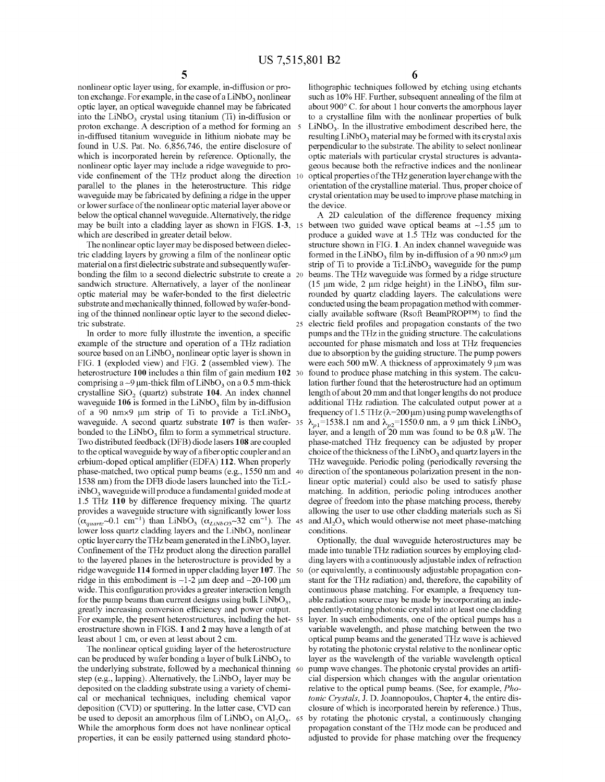nonlinear optic layer using, for example, in-diffusion or proton exchange. For example, in the case of a  $LiNbO<sub>3</sub>$  nonlinear optic layer, an optical waveguide channel may be fabricated into the LiNbO<sub>3</sub> crystal using titanium (Ti) in-diffusion or proton exchange. A description of a method for forming an 5 in-diffused titanium waveguide in lithium niobate may be found in U.S. Pat. No. 6,856,746, the entire disclosure of which is incorporated herein by reference. Optionally, the nonlinear optic layer may include a ridge waveguide to provide confinement of the THz product along the direction 10 parallel to the planes in the heterostructure. This ridge waveguide may be fabricated by defining a ridge in the upper or lower surface of the nonlinear optic material layer above or below the optical channel waveguide. Alternatively, the ridge may be built into a cladding layer as shown in FIGS. **1-3,** 15 which are described in greater detail below.

The nonlinear optic layer may be disposed between dielectric cladding layers by growing a film of the nonlinear optic material on a first dielectric substrate and subsequently waferbonding the film to a second dielectric substrate to create a 20 sandwich structure. Alternatively, a layer of the nonlinear optic material may be wafer-bonded to the first dielectric substrate and mechanically thinned, followed by wafer-bonding of the thinned nonlinear optic layer to the second dielectric substrate.

In order to more fully illustrate the invention, a specific example of the structure and operation of a THz radiation source based on an  $LiNbO<sub>3</sub>$  nonlinear optic layer is shown in FIG. **1** (exploded view) and FIG. **2** (assembled view). The heterostructure **100** includes a thin film of gain medium **102** <sup>30</sup> comprising a  $\sim$ 9 µm-thick film of LiNbO<sub>3</sub> on a 0.5 mm-thick crystalline SiO<sub>2</sub> (quartz) substrate 104. An index channel waveguide  $106$  is formed in the LiNbO<sub>3</sub> film by in-diffusion of a 90 nm $\times$ 9 µm strip of Ti to provide a Ti:LiNbO<sub>3</sub> waveguide. A second quartz substrate **107** is then wafer- 35 bonded to the  $LiNbO<sub>3</sub>$  film to form a symmetrical structure. Two distributed feedback (DFB) diode lasers **108** are coupled to the optical waveguide by way of a fiber optic coupler and an erbium-doped optical amplifier (EDFA) **112.** When properly phase-matched, two optical pump beams (e.g., 1550 nm and 40 1538 nm) from the DFB diode lasers launched into the Ti:LiNbO<sub>3</sub> waveguide will produce a fundamental guided mode at 1.5 THz **110** by difference frequency mixing. The quartz provides a waveguide structure with significantly lower loss  $(\alpha_{quartz} \sim 0.1 \text{ cm}^{-1})$  than LiNbO<sub>3</sub>  $(\alpha_{LiNbO3} \sim 32 \text{ cm}^{-1})$ . The 45 lower loss quartz cladding layers and the  $LiNbO<sub>3</sub>$  nonlinear optic layer carry the THz beam generated in the  $LiNbO<sub>3</sub>$  layer. Confinement of the THz product along the direction parallel to the layered planes in the heterostructure is provided by a ridge waveguide **114** formed in upper cladding layer **107.** The 50 ridge in this embodiment is  $\sim$ 1-2  $\mu$ m deep and  $\sim$ 20-100  $\mu$ m wide. This configuration provides a greater interaction length for the pump beams than current designs using bulk  $LiNbO<sub>3</sub>$ , greatly increasing conversion efficiency and power output. For example, the present heterostructures, including the het- 55 erostructure shown in FIGS. **1** and **2** may have a length of at least about 1 cm, or even at least about 2 cm.

The nonlinear optical guiding layer of the heterostructure can be produced by wafer bonding a layer of bulk  $LiNbO<sub>3</sub>$  to the underlying substrate, followed by a mechanical thinning 60 step (e.g., lapping). Alternatively, the  $LiNbO<sub>3</sub>$  layer may be deposited on the cladding substrate using a variety of chemical or mechanical techniques, including chemical vapor deposition (CVD) or sputtering. In the latter case, CVD can be used to deposit an amorphous film of  $LiNbO<sub>3</sub>$  on  $Al<sub>2</sub>O<sub>3</sub>$ . 65 While the amorphous form does not have nonlinear optical properties, it can be easily patterned using standard photo**6** 

lithographic techniques followed by etching using etchants such as 10% HF. Further, subsequent annealing of the film at about 900° C. for about 1 hour converts the amorphous layer to a crystalline film with the nonlinear properties of bulk  $LiNbO<sub>3</sub>$ . In the illustrative embodiment described here, the resulting  $LiNbO<sub>3</sub>$  material may be formed with its crystal axis perpendicular to the substrate. The ability to select nonlinear optic materials with particular crystal structures is advantageous because both the refractive indices and the nonlinear optical properties of the THz generation layer change with the orientation of the crystalline material. Thus, proper choice of crystal orientation may be used to improve phase matching in the device.

A 2D calculation of the difference frequency mixing between two guided wave optical beams at  $\sim$ 1.55 µm to produce a guided wave at 1.5 THz was conducted for the structure shown in FIG. **1.** An index channel waveguide was formed in the LiNbO<sub>3</sub> film by in-diffusion of a 90 nm $\times$ 9 µm strip of Ti to provide a Ti:LiNbO<sub>3</sub> waveguide for the pump beams. The THz waveguide was formed by a ridge structure (15  $\mu$ m wide, 2  $\mu$ m ridge height) in the LiNbO<sub>3</sub> film surrounded by quartz cladding layers. The calculations were conducted using the beam propagation method with commercially available software (Rsoft BeamPROP™) to find the 25 electric field profiles and propagation constants of the two pumps and the THz in the guiding structure. The calculations accounted for phase mismatch and loss at THz frequencies due to absorption by the guiding structure. The pump powers were each 500 mW. A thickness of approximately 9 µm was found to produce phase matching in this system. The calculation further found that the heterostructure had an optimum length of about 20 mm and that longer lengths do not produce additional THz radiation. The calculated output power at a frequency of 1.5 THz (λ=200 μm) using pump wavelengths of  $\lambda_{p1}$ =1538.1 nm and  $\lambda_{p2}$ =1550.0 nm, a 9 µm thick LiNbO<sub>3</sub> layer, and a length of 20 mm was found to be 0.8 µW. The phase-matched THz frequency can be adjusted by proper choice of the thickness of the LiNbO<sub>3</sub> and quartz layers in the THz waveguide. Periodic poling (periodically reversing the direction of the spontaneous polarization present in the nonlinear optic material) could also be used to satisfy phase matching. In addition, periodic poling introduces another degree of freedom into the phase matching process, thereby allowing the user to use other cladding materials such as Si and  $A1<sub>2</sub>O<sub>3</sub>$  which would otherwise not meet phase-matching conditions.

Optionally, the dual waveguide heterostructures may be made into tunable THz radiation sources by employing cladding layers with a continuously adjustable index of refraction (or equivalently, a continuously adjustable propagation constant for the THz radiation) and, therefore, the capability of continuous phase matching. For example, a frequency tunable radiation source may be made by incorporating an independently-rotating photonic crystal into at least one cladding layer. In such embodiments, one of the optical pumps has a variable wavelength, and phase matching between the two optical pump beams and the generated THz wave is achieved by rotating the photonic crystal relative to the nonlinear optic layer as the wavelength of the variable wavelength optical pump wave changes. The photonic crystal provides an artificial dispersion which changes with the angular orientation relative to the optical pump beams. (See, for example, *Photonic Crystals,* J. D. Joannopoulos, Chapter 4, the entire disclosure of which is incorporated herein by reference.) Thus, by rotating the photonic crystal, a continuously changing propagation constant of the THz mode can be produced and adjusted to provide for phase matching over the frequency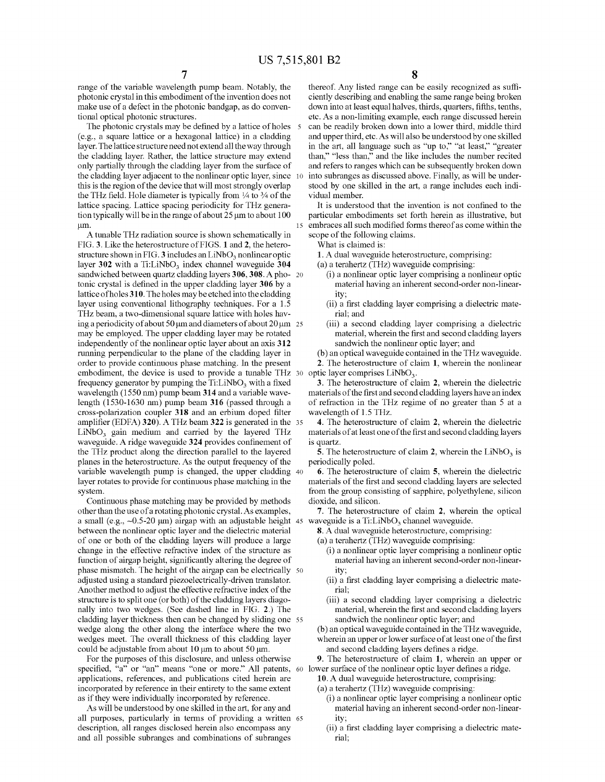range of the variable wavelength pump beam. Notably, the photonic crystal in this embodiment of the invention does not make use of a defect in the photonic bandgap, as do conventional optical photonic structures.

The photonic crystals may be defined by a lattice of holes (e.g., a square lattice or a hexagonal lattice) in a cladding layer. The lattice structure need not extend all the way through the cladding layer. Rather, the lattice structure may extend only partially through the cladding layer from the surface of the cladding layer adjacent to the nonlinear optic layer, since this is the region of the device that will most strongly overlap the THz field. Hole diameter is typically from  $\frac{1}{4}$  to  $\frac{3}{4}$  of the lattice spacing. Lattice spacing periodicity for THz generation typically will be in the range of about 25 µm to about 100 µm.

A tunable THz radiation source is shown schematically in scope of the following claims. FIG. **3.** Like the heterostructure of FIGS. **1 and 2,** the heterostructure shown in FIG.  $3$  includes an LiNbO<sub>3</sub> nonlinear optic layer 302 with a Ti:LiNbO<sub>3</sub> index channel waveguide 304 sandwiched between quartz cladding layers **306, 308.** A pho- 20 tonic crystal is defined in the upper cladding layer **306** by a lattice ofholes **310.** The holes may be etched into the cladding layer using conventional lithography techniques. For a 1.5 THz beam, a two-dimensional square lattice with holes having a periodicity of about 50  $\mu$ m and diameters of about 20  $\mu$ m 25 may be employed. The upper cladding layer may be rotated independently of the nonlinear optic layer about an axis **312**  running perpendicular to the plane of the cladding layer in order to provide continuous phase matching. In the present embodiment, the device is used to provide a tunable THz 30 frequency generator by pumping the  $Ti:LiNbO<sub>3</sub>$  with a fixed wavelength (1550 nm) pump beam **314** and a variable wavelength (1530-1630 nm) pump beam **316** (passed through a cross-polarization coupler **318** and an erbium doped filter amplifier (EDFA) **320).** A THz beam **322** is generated in the 35  $LiNbO<sub>3</sub>$  gain medium and carried by the layered THz waveguide. A ridge waveguide **324** provides confinement of the THz product along the direction parallel to the layered planes in the heterostructure. As the output frequency of the variable wavelength pump is changed, the upper cladding 40 layer rotates to provide for continuous phase matching in the system.

Continuous phase matching may be provided by methods other than the use of a rotating photonic crystal. As examples, a small (e.g.,  $\sim 0.5$ -20  $\mu$ m) airgap with an adjustable height 45 between the nonlinear optic layer and the dielectric material of one or both of the cladding layers will produce a large change in the effective refractive index of the structure as function of airgap height, significantly altering the degree of phase mismatch. The height of the airgap can be electrically 50 adjusted using a standard piezoelectrically-driven translator. Another method to adjust the effective refractive index of the structure is to split one (or both) of the cladding layers diagonally into two wedges. (See dashed line in FIG. **2.)** The cladding layer thickness then can be changed by sliding one 55 wedge along the other along the interface where the two wedges meet. The overall thickness of this cladding layer could be adjustable from about 10  $\mu$ m to about 50  $\mu$ m.

For the purposes of this disclosure, and unless otherwise specified, "a" or "an" means "one or more." All patents, 60 lower surface of the nonlinear optic layer defines a ridge. applications, references, and publications cited herein are incorporated by reference in their entirety to the same extent as if they were individually incorporated by reference.

As will be understood by one skilled in the art, for any and all purposes, particularly in terms of providing a written 65 description, all ranges disclosed herein also encompass any and all possible subranges and combinations of subranges

thereof. Any listed range can be easily recognized as sufficiently describing and enabling the same range being broken down into at least equal halves, thirds, quarters, fifths, tenths, etc. As a non-limiting example, each range discussed herein can be readily broken down into a lower third, middle third and upper third, etc. As will also be understood by one skilled in the art, all language such as "up to," "at least," "greater than," "less than," and the like includes the number recited and refers to ranges which can be subsequently broken down into subranges as discussed above. Finally, as will be understood by one skilled in the art, a range includes each individual member.

It is understood that the invention is not confined to the particular embodiments set forth herein as illustrative, but 15 embraces all such modified forms thereof as come within the

What is claimed is:

**1.** A dual waveguide heterostructure, comprising:

(a) a terahertz (THz) waveguide comprising:

- (i) a nonlinear optic layer comprising a nonlinear optic material having an inherent second-order non-linearity;
- (ii) a first cladding layer comprising a dielectric material; and
- (iii) a second cladding layer comprising a dielectric material, wherein the first and second cladding layers sandwich the nonlinear optic layer; and

(b) an optical waveguide contained in the THz waveguide. **2.** The heterostructure of claim **1,** wherein the nonlinear optic layer comprises  $LiNbO<sub>3</sub>$ .

**3.** The heterostructure of claim **2,** wherein the dielectric materials of the first and second cladding layers have an index of refraction in the THz regime of no greater than 5 at a wavelength of 1.5 THz.

**4.** The heterostructure of claim **2,** wherein the dielectric materials of at least one of the first and second cladding layers is quartz.

**5.** The heterostructure of claim 2, wherein the  $LiNbO<sub>3</sub>$  is periodically poled.

**6.** The heterostructure of claim **5,** wherein the dielectric materials of the first and second cladding layers are selected from the group consisting of sapphire, polyethylene, silicon dioxide, and silicon.

**7.** The heterostructure of claim **2,** wherein the optical waveguide is a  $Ti:LiNbO<sub>3</sub>$  channel waveguide.

**8.** A dual waveguide heterostructure, comprising:

- (a) a terahertz (THz) waveguide comprising:
	- (i) a nonlinear optic layer comprising a nonlinear optic material having an inherent second-order non-linearity;
	- (ii) a first cladding layer comprising a dielectric material;
	- (iii) a second cladding layer comprising a dielectric material, wherein the first and second cladding layers sandwich the nonlinear optic layer; and
- (b) an optical waveguide contained in the THz waveguide, wherein an upper or lower surface of at least one of the first and second cladding layers defines a ridge.

**9.** The heterostructure of claim **1,** wherein an upper or

**10.** A dual waveguide heterostructure, comprising:

(a) a terahertz (THz) waveguide comprising:

- (i) a nonlinear optic layer comprising a nonlinear optic material having an inherent second-order non-linearity;
- (ii) a first cladding layer comprising a dielectric material;